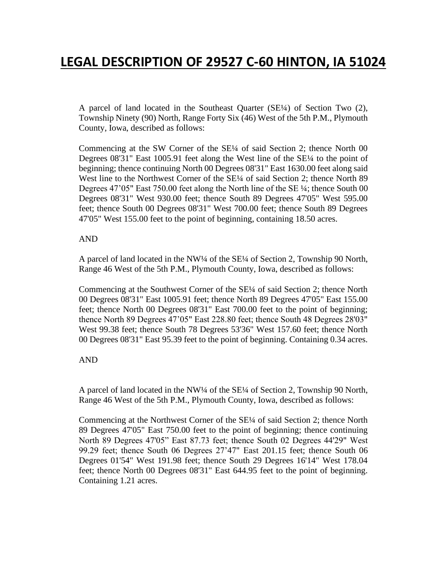# **LEGAL DESCRIPTION OF 29527 C-60 HINTON, IA 51024**

A parcel of land located in the Southeast Quarter (SE¼) of Section Two (2), Township Ninety (90) North, Range Forty Six (46) West of the 5th P.M., Plymouth County, Iowa, described as follows:

Commencing at the SW Corner of the SE¼ of said Section 2; thence North 00 Degrees 08'31" East 1005.91 feet along the West line of the SE¼ to the point of beginning; thence continuing North 00 Degrees 08'31" East 1630.00 feet along said West line to the Northwest Corner of the SE¼ of said Section 2; thence North 89 Degrees 47'05" East 750.00 feet along the North line of the SE ¼; thence South 00 Degrees 08'31" West 930.00 feet; thence South 89 Degrees 47'05" West 595.00 feet; thence South 00 Degrees 08'31" West 700.00 feet; thence South 89 Degrees 47'05" West 155.00 feet to the point of beginning, containing 18.50 acres.

## AND

A parcel of land located in the NW¼ of the SE¼ of Section 2, Township 90 North, Range 46 West of the 5th P.M., Plymouth County, Iowa, described as follows:

Commencing at the Southwest Corner of the SE¼ of said Section 2; thence North 00 Degrees 08'31" East 1005.91 feet; thence North 89 Degrees 47'05" East 155.00 feet; thence North 00 Degrees 08'31" East 700.00 feet to the point of beginning; thence North 89 Degrees 47'05" East 228.80 feet; thence South 48 Degrees 28'03" West 99.38 feet; thence South 78 Degrees 53'36" West 157.60 feet; thence North 00 Degrees 08'31" East 95.39 feet to the point of beginning. Containing 0.34 acres.

# AND

A parcel of land located in the NW¼ of the SE¼ of Section 2, Township 90 North, Range 46 West of the 5th P.M., Plymouth County, Iowa, described as follows:

Commencing at the Northwest Corner of the SE¼ of said Section 2; thence North 89 Degrees 47'05" East 750.00 feet to the point of beginning; thence continuing North 89 Degrees 47'05" East 87.73 feet; thence South 02 Degrees 44'29" West 99.29 feet; thence South 06 Degrees 27'47" East 201.15 feet; thence South 06 Degrees 01'54" West 191.98 feet; thence South 29 Degrees 16'14" West 178.04 feet; thence North 00 Degrees 08'31" East 644.95 feet to the point of beginning. Containing 1.21 acres.